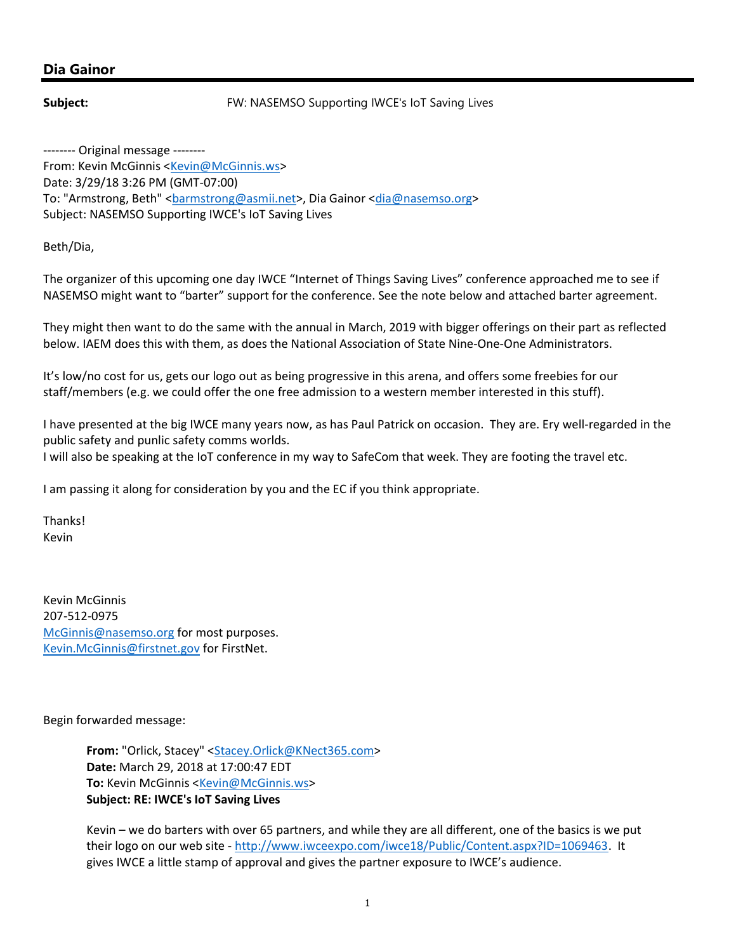## Dia Gainor

Subject: **Subject:** FW: NASEMSO Supporting IWCE's loT Saving Lives

-------- Original message -------- From: Kevin McGinnis <Kevin@McGinnis.ws> Date: 3/29/18 3:26 PM (GMT-07:00) To: "Armstrong, Beth" <br />
darmstrong@asmii.net>, Dia Gainor <dia@nasemso.org> Subject: NASEMSO Supporting IWCE's IoT Saving Lives

Beth/Dia,

The organizer of this upcoming one day IWCE "Internet of Things Saving Lives" conference approached me to see if NASEMSO might want to "barter" support for the conference. See the note below and attached barter agreement.

They might then want to do the same with the annual in March, 2019 with bigger offerings on their part as reflected below. IAEM does this with them, as does the National Association of State Nine-One-One Administrators.

It's low/no cost for us, gets our logo out as being progressive in this arena, and offers some freebies for our staff/members (e.g. we could offer the one free admission to a western member interested in this stuff).

I have presented at the big IWCE many years now, as has Paul Patrick on occasion. They are. Ery well-regarded in the public safety and punlic safety comms worlds.

I will also be speaking at the IoT conference in my way to SafeCom that week. They are footing the travel etc.

I am passing it along for consideration by you and the EC if you think appropriate.

Thanks! Kevin

Kevin McGinnis 207-512-0975 McGinnis@nasemso.org for most purposes. Kevin.McGinnis@firstnet.gov for FirstNet.

Begin forwarded message:

From: "Orlick, Stacey" <Stacey.Orlick@KNect365.com> Date: March 29, 2018 at 17:00:47 EDT To: Kevin McGinnis <Kevin@McGinnis.ws> Subject: RE: IWCE's IoT Saving Lives

Kevin – we do barters with over 65 partners, and while they are all different, one of the basics is we put their logo on our web site - http://www.iwceexpo.com/iwce18/Public/Content.aspx?ID=1069463. It gives IWCE a little stamp of approval and gives the partner exposure to IWCE's audience.